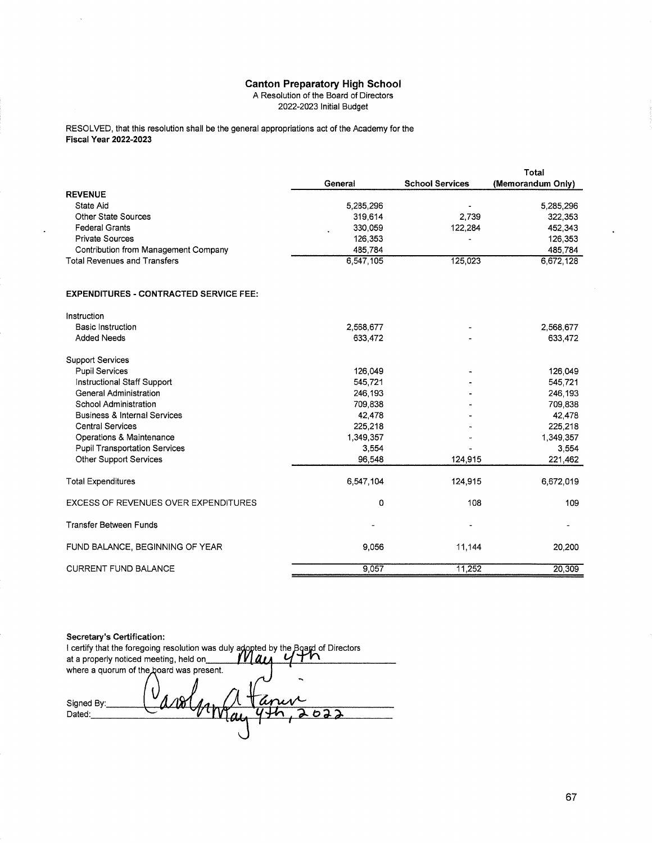## **Canton Preparatory High School**

A Resolution of the Board of Directors

2022-2023 Initial Budget

RESOLVED, that this resolution shall be the general appropriations act of the Academy for the **Fiscal Year 2022-2023** 

|                                               |           |                        | Total             |
|-----------------------------------------------|-----------|------------------------|-------------------|
|                                               | General   | <b>School Services</b> | (Memorandum Only) |
| <b>REVENUE</b>                                |           |                        |                   |
| State Aid                                     | 5,285,296 |                        | 5,285,296         |
| <b>Other State Sources</b>                    | 319,614   | 2,739                  | 322,353           |
| <b>Federal Grants</b>                         | 330,059   | 122,284                | 452,343           |
| <b>Private Sources</b>                        | 126,353   |                        | 126,353           |
| <b>Contribution from Management Company</b>   | 485,784   |                        | 485,784           |
| <b>Total Revenues and Transfers</b>           | 6,547,105 | 125,023                | 6,672,128         |
|                                               |           |                        |                   |
| <b>EXPENDITURES - CONTRACTED SERVICE FEE:</b> |           |                        |                   |
| Instruction                                   |           |                        |                   |
| <b>Basic Instruction</b>                      | 2,568,677 |                        | 2,568,677         |
| <b>Added Needs</b>                            | 633,472   |                        | 633,472           |
| <b>Support Services</b>                       |           |                        |                   |
| <b>Pupil Services</b>                         | 126.049   |                        | 126,049           |
| Instructional Staff Support                   | 545,721   |                        | 545,721           |
| <b>General Administration</b>                 | 246,193   |                        | 246,193           |
| School Administration                         | 709,838   |                        | 709,838           |
| <b>Business &amp; Internal Services</b>       | 42,478    |                        | 42,478            |
| <b>Central Services</b>                       | 225,218   |                        | 225,218           |
| Operations & Maintenance                      | 1,349,357 |                        | 1,349,357         |
| <b>Pupil Transportation Services</b>          | 3,554     |                        | 3,554             |
| Other Support Services                        | 96,548    | 124,915                | 221,462           |

| Other Support Services               | 96,548    | 124.915 | 221,462   |
|--------------------------------------|-----------|---------|-----------|
| <b>Total Expenditures</b>            | 6,547,104 | 124,915 | 6,672,019 |
| EXCESS OF REVENUES OVER EXPENDITURES | 0         | 108     | 109       |
| <b>Transfer Between Funds</b>        | ٠         | ۰       | ٠         |
| FUND BALANCE, BEGINNING OF YEAR      | 9.056     | 11.144  | 20,200    |
| <b>CURRENT FUND BALANCE</b>          | 9.057     | 11.252  | 20,309    |

Secretary's Certification: I certify that the foregoing resolution was duly adopted by the Board of Directors<br>at a properly noticed meeting, held on **May of the Social Algebra** where a quorum of the board was present. U Signed By:  $\overline{2}$ Dated: ь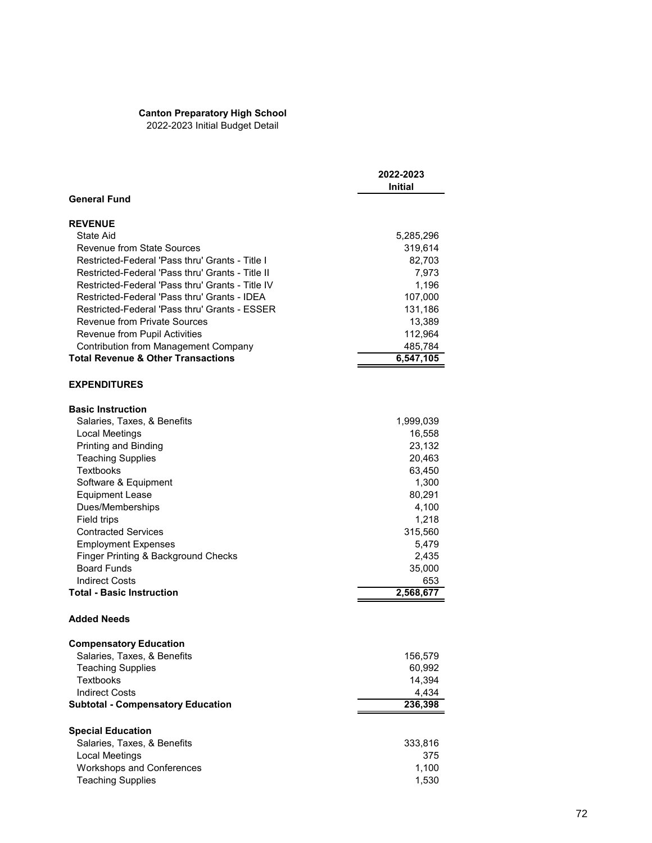## **Canton Preparatory High School**

2022-2023 Initial Budget Detail

|                                                  | 2022-2023<br>Initial |
|--------------------------------------------------|----------------------|
| <b>General Fund</b>                              |                      |
| <b>REVENUE</b>                                   |                      |
| State Aid                                        | 5,285,296            |
| Revenue from State Sources                       | 319,614              |
| Restricted-Federal 'Pass thru' Grants - Title I  | 82,703               |
| Restricted-Federal 'Pass thru' Grants - Title II | 7,973                |
| Restricted-Federal 'Pass thru' Grants - Title IV | 1,196                |
| Restricted-Federal 'Pass thru' Grants - IDEA     | 107,000              |
| Restricted-Federal 'Pass thru' Grants - ESSER    | 131,186              |
| <b>Revenue from Private Sources</b>              | 13,389               |
| Revenue from Pupil Activities                    | 112,964              |
| <b>Contribution from Management Company</b>      | 485,784              |
| <b>Total Revenue &amp; Other Transactions</b>    | 6,547,105            |
|                                                  |                      |
| <b>EXPENDITURES</b>                              |                      |
| <b>Basic Instruction</b>                         |                      |
| Salaries, Taxes, & Benefits                      | 1,999,039            |
| Local Meetings                                   | 16,558               |
| Printing and Binding                             | 23,132               |
| <b>Teaching Supplies</b>                         | 20,463               |
| <b>Textbooks</b>                                 | 63,450               |
| Software & Equipment                             | 1,300                |
| <b>Equipment Lease</b>                           | 80,291               |
| Dues/Memberships                                 | 4,100                |
| Field trips                                      | 1,218                |
| <b>Contracted Services</b>                       | 315,560              |
|                                                  |                      |
| <b>Employment Expenses</b>                       | 5,479                |
| Finger Printing & Background Checks              | 2,435                |
| <b>Board Funds</b>                               | 35,000               |
| <b>Indirect Costs</b>                            | 653                  |
| <b>Total - Basic Instruction</b>                 | 2,568,677            |
| <b>Added Needs</b>                               |                      |
| <b>Compensatory Education</b>                    |                      |
| Salaries, Taxes, & Benefits                      | 156,579              |
| <b>Teaching Supplies</b>                         | 60,992               |
| Textbooks                                        | 14,394               |
| <b>Indirect Costs</b>                            | 4,434                |
| <b>Subtotal - Compensatory Education</b>         | 236,398              |
|                                                  |                      |
| <b>Special Education</b>                         |                      |
| Salaries, Taxes, & Benefits                      | 333,816              |
| <b>Local Meetings</b>                            | 375                  |
| <b>Workshops and Conferences</b>                 | 1,100                |
| <b>Teaching Supplies</b>                         | 1,530                |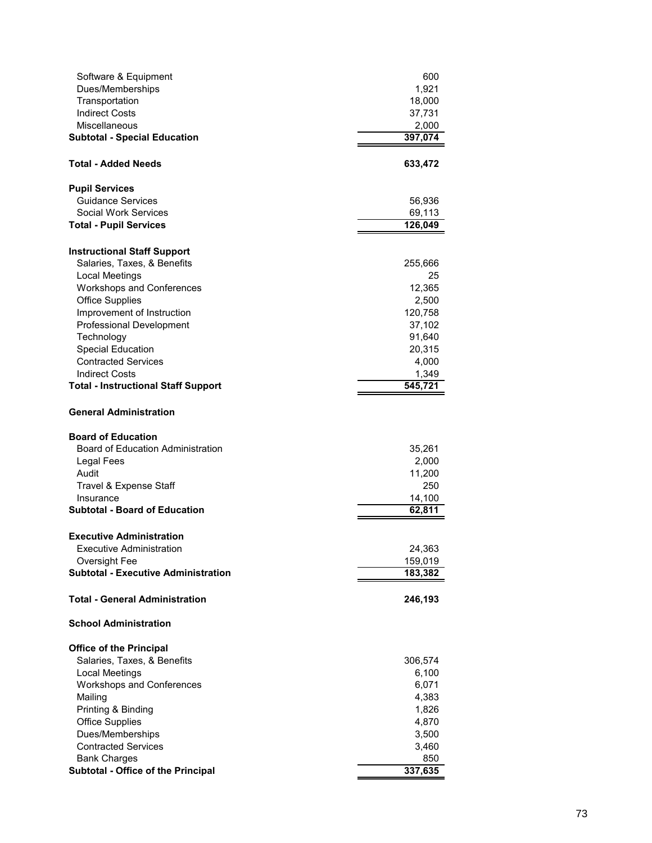| Software & Equipment                                | 600              |
|-----------------------------------------------------|------------------|
| Dues/Memberships                                    | 1,921            |
| Transportation                                      | 18,000           |
| <b>Indirect Costs</b>                               | 37,731           |
| Miscellaneous                                       | 2,000            |
| <b>Subtotal - Special Education</b>                 | 397,074          |
| <b>Total - Added Needs</b>                          | 633,472          |
| <b>Pupil Services</b>                               |                  |
| <b>Guidance Services</b>                            | 56,936           |
| <b>Social Work Services</b>                         | 69,113           |
| <b>Total - Pupil Services</b>                       | 126,049          |
| <b>Instructional Staff Support</b>                  |                  |
| Salaries, Taxes, & Benefits                         | 255,666          |
| Local Meetings                                      | 25               |
| <b>Workshops and Conferences</b>                    | 12,365           |
| <b>Office Supplies</b>                              | 2,500            |
| Improvement of Instruction                          | 120,758          |
| <b>Professional Development</b>                     | 37,102           |
| Technology                                          | 91,640           |
| <b>Special Education</b>                            | 20,315           |
| <b>Contracted Services</b><br><b>Indirect Costs</b> | 4,000            |
| <b>Total - Instructional Staff Support</b>          | 1,349<br>545,721 |
|                                                     |                  |
| <b>General Administration</b>                       |                  |
| <b>Board of Education</b>                           |                  |
| <b>Board of Education Administration</b>            | 35,261           |
| Legal Fees                                          | 2,000            |
| Audit                                               | 11,200           |
| Travel & Expense Staff                              | 250              |
| Insurance                                           | 14,100           |
| <b>Subtotal - Board of Education</b>                | 62,811           |
| <b>Executive Administration</b>                     |                  |
| Executive Administration                            | 24,363           |
| Oversight Fee                                       | 159,019          |
| <b>Subtotal - Executive Administration</b>          | 183,382          |
| <b>Total - General Administration</b>               | 246,193          |
| <b>School Administration</b>                        |                  |
| <b>Office of the Principal</b>                      |                  |
| Salaries, Taxes, & Benefits                         | 306,574          |
| Local Meetings                                      | 6,100            |
| <b>Workshops and Conferences</b>                    | 6,071            |
| Mailing                                             | 4,383            |
| Printing & Binding                                  | 1,826            |
| <b>Office Supplies</b>                              | 4,870            |
| Dues/Memberships                                    | 3,500            |
| <b>Contracted Services</b>                          | 3,460            |
| <b>Bank Charges</b>                                 | 850              |
| Subtotal - Office of the Principal                  | 337,635          |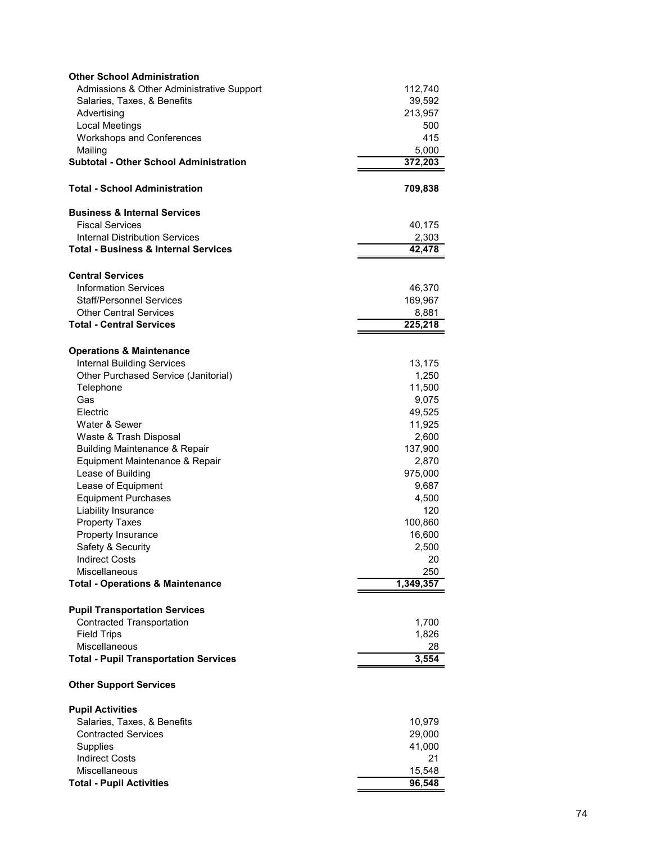| <b>Other School Administration</b>              |           |
|-------------------------------------------------|-----------|
| Admissions & Other Administrative Support       | 112,740   |
| Salaries, Taxes, & Benefits                     | 39,592    |
| Advertising                                     | 213,957   |
| Local Meetings                                  | 500       |
| <b>Workshops and Conferences</b>                | 415       |
| Mailing                                         | 5,000     |
| <b>Subtotal - Other School Administration</b>   | 372,203   |
| <b>Total - School Administration</b>            | 709,838   |
| <b>Business &amp; Internal Services</b>         |           |
| <b>Fiscal Services</b>                          | 40,175    |
| <b>Internal Distribution Services</b>           | 2,303     |
| <b>Total - Business &amp; Internal Services</b> | 42,478    |
|                                                 |           |
| <b>Central Services</b>                         |           |
| <b>Information Services</b>                     | 46,370    |
| <b>Staff/Personnel Services</b>                 | 169,967   |
| <b>Other Central Services</b>                   | 8,881     |
| <b>Total - Central Services</b>                 | 225,218   |
| <b>Operations &amp; Maintenance</b>             |           |
| <b>Internal Building Services</b>               | 13,175    |
| Other Purchased Service (Janitorial)            | 1,250     |
| Telephone                                       | 11,500    |
| Gas                                             | 9,075     |
| Electric                                        | 49,525    |
| Water & Sewer                                   | 11,925    |
| Waste & Trash Disposal                          | 2,600     |
| <b>Building Maintenance &amp; Repair</b>        | 137,900   |
| Equipment Maintenance & Repair                  | 2,870     |
| Lease of Building                               | 975,000   |
| Lease of Equipment                              | 9,687     |
| <b>Equipment Purchases</b>                      | 4,500     |
| Liability Insurance                             | 120       |
| <b>Property Taxes</b>                           | 100,860   |
| Property Insurance                              | 16,600    |
| Safety & Security                               | 2,500     |
| <b>Indirect Costs</b>                           | 20        |
| Miscellaneous                                   | 250       |
| <b>Total - Operations &amp; Maintenance</b>     | 1,349,357 |
|                                                 |           |
| <b>Pupil Transportation Services</b>            |           |
| <b>Contracted Transportation</b>                | 1,700     |
| <b>Field Trips</b>                              | 1,826     |
| Miscellaneous                                   | 28        |
| <b>Total - Pupil Transportation Services</b>    | 3,554     |
| <b>Other Support Services</b>                   |           |
| <b>Pupil Activities</b>                         |           |
| Salaries, Taxes, & Benefits                     | 10,979    |
| <b>Contracted Services</b>                      | 29,000    |
| Supplies                                        | 41,000    |
| <b>Indirect Costs</b>                           | 21        |
| Miscellaneous                                   | 15,548    |
| <b>Total - Pupil Activities</b>                 | 96,548    |